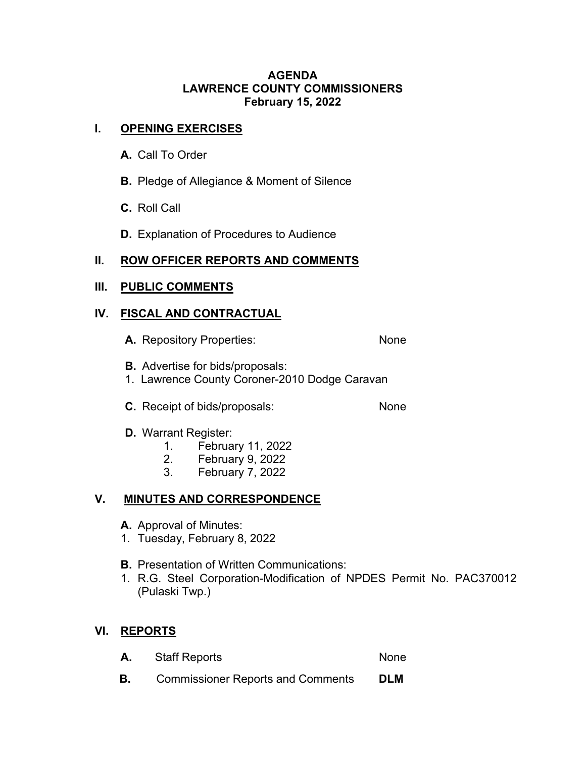### **AGENDA LAWRENCE COUNTY COMMISSIONERS February 15, 2022**

## **I. OPENING EXERCISES**

- **A.** Call To Order
- **B.** Pledge of Allegiance & Moment of Silence
- **C.** Roll Call
- **D.** Explanation of Procedures to Audience

# **II. ROW OFFICER REPORTS AND COMMENTS**

### **III. PUBLIC COMMENTS**

## **IV. FISCAL AND CONTRACTUAL**

- A. Repository Properties: None
- **B.** Advertise for bids/proposals:
- 1. Lawrence County Coroner-2010 Dodge Caravan
- **C.** Receipt of bids/proposals: None

### **D.** Warrant Register:

- 1. February 11, 2022
- 2. February 9, 2022
- 3. February 7, 2022

# **V. MINUTES AND CORRESPONDENCE**

- **A.** Approval of Minutes:
- 1. Tuesday, February 8, 2022
- **B.** Presentation of Written Communications:
- 1. R.G. Steel Corporation-Modification of NPDES Permit No. PAC370012 (Pulaski Twp.)

# **VI. REPORTS**

- A. Staff Reports None
- **B.** Commissioner Reports and Comments **DLM**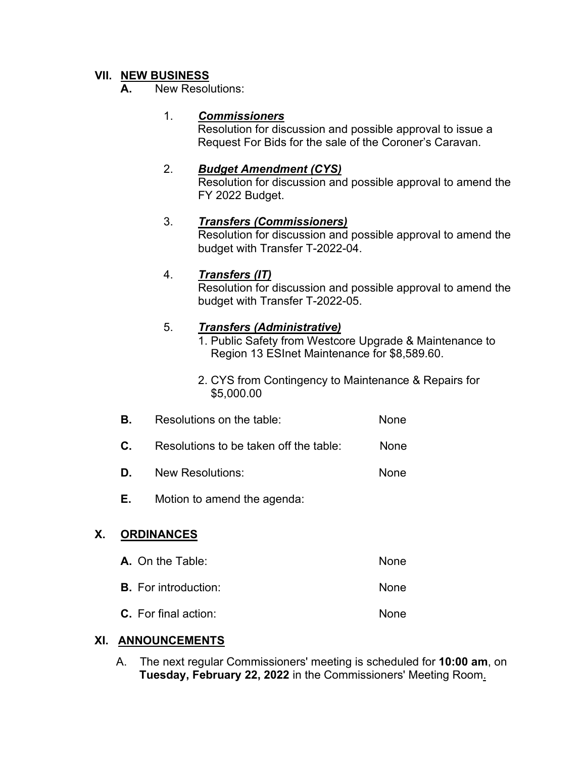## **VII. NEW BUSINESS**

**A.** New Resolutions:

### 1. *Commissioners*

 Resolution for discussion and possible approval to issue a Request For Bids for the sale of the Coroner's Caravan.

### 2. *Budget Amendment (CYS)*

Resolution for discussion and possible approval to amend the FY 2022 Budget.

### 3. *Transfers (Commissioners)*

Resolution for discussion and possible approval to amend the budget with Transfer T-2022-04.

### 4. *Transfers (IT)*

Resolution for discussion and possible approval to amend the budget with Transfer T-2022-05.

## 5. *Transfers (Administrative)*

- 1. Public Safety from Westcore Upgrade & Maintenance to Region 13 ESInet Maintenance for \$8,589.60.
- 2. CYS from Contingency to Maintenance & Repairs for \$5,000.00
- **B.** Resolutions on the table: None
- **C.** Resolutions to be taken off the table: None
- **D.** New Resolutions: None
- **E.** Motion to amend the agenda:

# **X. ORDINANCES**

**A.** On the Table: None **B.** For introduction: None **C.** For final action: None

### **XI. ANNOUNCEMENTS**

 A. The next regular Commissioners' meeting is scheduled for **10:00 am**, on  **Tuesday, February 22, 2022** in the Commissioners' Meeting Room.